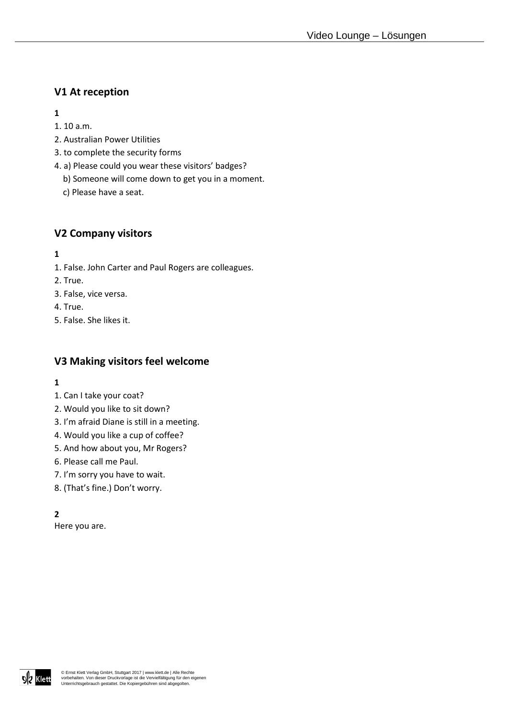# **V1 At reception**

**1** 

- 1. 10 a.m.
- 2. Australian Power Utilities
- 3. to complete the security forms
- 4. a) Please could you wear these visitors' badges?
	- b) Someone will come down to get you in a moment.
	- c) Please have a seat.

## **V2 Company visitors**

**1**

- 1. False. John Carter and Paul Rogers are colleagues.
- 2. True.
- 3. False, vice versa.
- 4. True.
- 5. False. She likes it.

# **V3 Making visitors feel welcome**

- **1**
- 1. Can I take your coat?
- 2. Would you like to sit down?
- 3. I'm afraid Diane is still in a meeting.
- 4. Would you like a cup of coffee?
- 5. And how about you, Mr Rogers?
- 6. Please call me Paul.
- 7. I'm sorry you have to wait.
- 8. (That's fine.) Don't worry.

### **2**

Here you are.

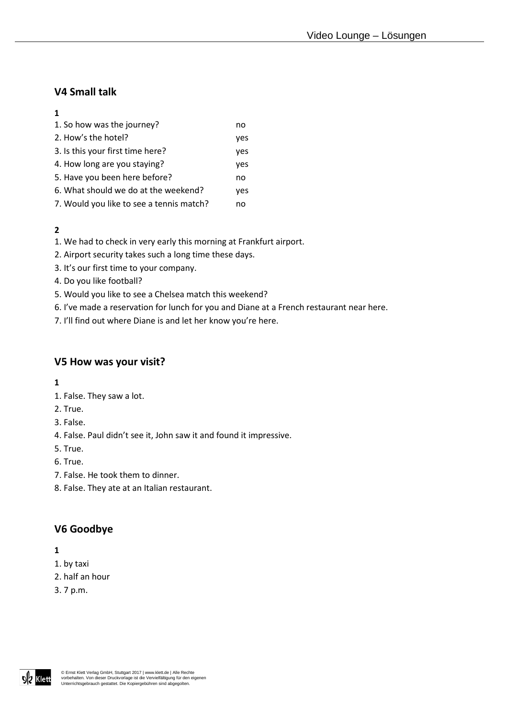# **V4 Small talk**

#### **1**

| 1. So how was the journey?               | no  |
|------------------------------------------|-----|
| 2. How's the hotel?                      | yes |
| 3. Is this your first time here?         | yes |
| 4. How long are you staying?             | yes |
| 5. Have you been here before?            | no  |
| 6. What should we do at the weekend?     | yes |
| 7. Would you like to see a tennis match? | no  |

### **2**

- 1. We had to check in very early this morning at Frankfurt airport.
- 2. Airport security takes such a long time these days.
- 3. It's our first time to your company.
- 4. Do you like football?
- 5. Would you like to see a Chelsea match this weekend?
- 6. I've made a reservation for lunch for you and Diane at a French restaurant near here.
- 7. I'll find out where Diane is and let her know you're here.

### **V5 How was your visit?**

- **1**
- 1. False. They saw a lot.
- 2. True.
- 3. False.
- 4. False. Paul didn't see it, John saw it and found it impressive.
- 5. True.
- 6. True.
- 7. False. He took them to dinner.
- 8. False. They ate at an Italian restaurant.

### **V6 Goodbye**

- **1**
- 1. by taxi
- 2. half an hour
- 3. 7 p.m.

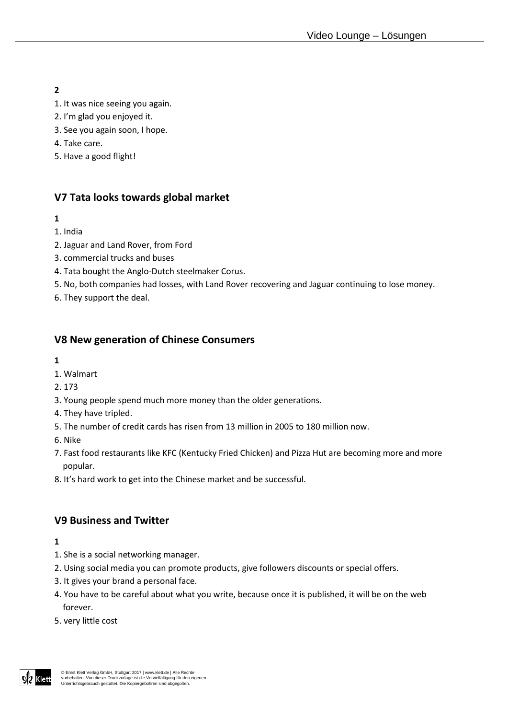**2** 

- 1. It was nice seeing you again.
- 2. I'm glad you enjoyed it.
- 3. See you again soon, I hope.
- 4. Take care.
- 5. Have a good flight!

# **V7 Tata looks towards global market**

#### **1**

- 1. India
- 2. Jaguar and Land Rover, from Ford
- 3. commercial trucks and buses
- 4. Tata bought the Anglo-Dutch steelmaker Corus.
- 5. No, both companies had losses, with Land Rover recovering and Jaguar continuing to lose money.
- 6. They support the deal.

## **V8 New generation of Chinese Consumers**

- **1**
- 1. Walmart
- 2. 173
- 3. Young people spend much more money than the older generations.
- 4. They have tripled.
- 5. The number of credit cards has risen from 13 million in 2005 to 180 million now.
- 6. Nike
- 7. Fast food restaurants like KFC (Kentucky Fried Chicken) and Pizza Hut are becoming more and more popular.
- 8. It's hard work to get into the Chinese market and be successful.

### **V9 Business and Twitter**

- **1**
- 1. She is a social networking manager.
- 2. Using social media you can promote products, give followers discounts or special offers.
- 3. It gives your brand a personal face.
- 4. You have to be careful about what you write, because once it is published, it will be on the web forever.
- 5. very little cost